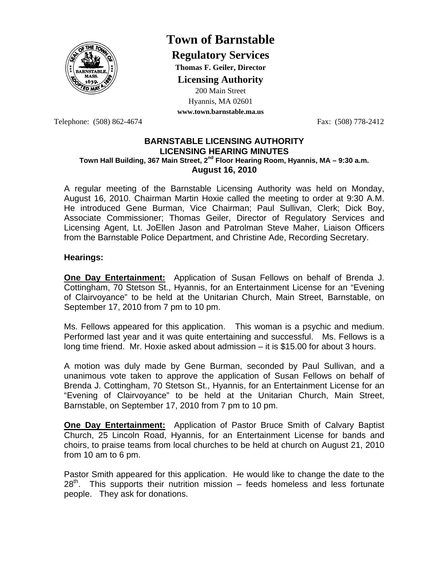

# **Town of Barnstable**

**Regulatory Services**

**Thomas F. Geiler, Director** 

**Licensing Authority**

200 Main Street Hyannis, MA 02601 **www.town.barnstable.ma.us**

Telephone: (508) 862-4674 Fax: (508) 778-2412

#### **BARNSTABLE LICENSING AUTHORITY LICENSING HEARING MINUTES Town Hall Building, 367 Main Street, 2nd Floor Hearing Room, Hyannis, MA – 9:30 a.m. August 16, 2010**

A regular meeting of the Barnstable Licensing Authority was held on Monday, August 16, 2010. Chairman Martin Hoxie called the meeting to order at 9:30 A.M. He introduced Gene Burman, Vice Chairman; Paul Sullivan, Clerk; Dick Boy, Associate Commissioner; Thomas Geiler, Director of Regulatory Services and Licensing Agent, Lt. JoEllen Jason and Patrolman Steve Maher, Liaison Officers from the Barnstable Police Department, and Christine Ade, Recording Secretary.

## **Hearings:**

**One Day Entertainment:** Application of Susan Fellows on behalf of Brenda J. Cottingham, 70 Stetson St., Hyannis, for an Entertainment License for an "Evening of Clairvoyance" to be held at the Unitarian Church, Main Street, Barnstable, on September 17, 2010 from 7 pm to 10 pm.

Ms. Fellows appeared for this application. This woman is a psychic and medium. Performed last year and it was quite entertaining and successful. Ms. Fellows is a long time friend. Mr. Hoxie asked about admission – it is \$15.00 for about 3 hours.

A motion was duly made by Gene Burman, seconded by Paul Sullivan, and a unanimous vote taken to approve the application of Susan Fellows on behalf of Brenda J. Cottingham, 70 Stetson St., Hyannis, for an Entertainment License for an "Evening of Clairvoyance" to be held at the Unitarian Church, Main Street, Barnstable, on September 17, 2010 from 7 pm to 10 pm.

**One Day Entertainment:** Application of Pastor Bruce Smith of Calvary Baptist Church, 25 Lincoln Road, Hyannis, for an Entertainment License for bands and choirs, to praise teams from local churches to be held at church on August 21, 2010 from 10 am to 6 pm.

Pastor Smith appeared for this application. He would like to change the date to the  $28<sup>th</sup>$ . This supports their nutrition mission – feeds homeless and less fortunate people. They ask for donations.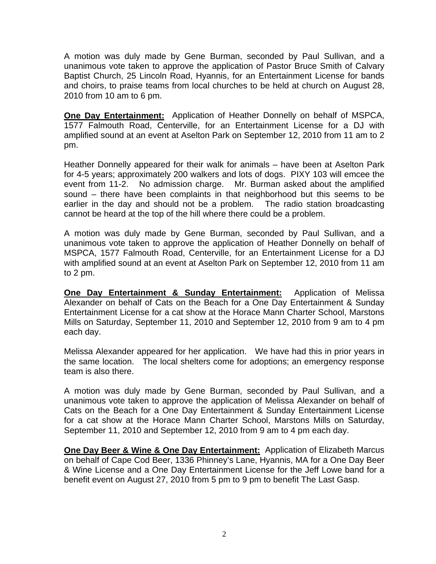A motion was duly made by Gene Burman, seconded by Paul Sullivan, and a unanimous vote taken to approve the application of Pastor Bruce Smith of Calvary Baptist Church, 25 Lincoln Road, Hyannis, for an Entertainment License for bands and choirs, to praise teams from local churches to be held at church on August 28, 2010 from 10 am to 6 pm.

**One Day Entertainment:** Application of Heather Donnelly on behalf of MSPCA, 1577 Falmouth Road, Centerville, for an Entertainment License for a DJ with amplified sound at an event at Aselton Park on September 12, 2010 from 11 am to 2 pm.

Heather Donnelly appeared for their walk for animals – have been at Aselton Park for 4-5 years; approximately 200 walkers and lots of dogs. PIXY 103 will emcee the event from 11-2. No admission charge. Mr. Burman asked about the amplified sound – there have been complaints in that neighborhood but this seems to be earlier in the day and should not be a problem. The radio station broadcasting cannot be heard at the top of the hill where there could be a problem.

A motion was duly made by Gene Burman, seconded by Paul Sullivan, and a unanimous vote taken to approve the application of Heather Donnelly on behalf of MSPCA, 1577 Falmouth Road, Centerville, for an Entertainment License for a DJ with amplified sound at an event at Aselton Park on September 12, 2010 from 11 am to 2 pm.

**One Day Entertainment & Sunday Entertainment:** Application of Melissa Alexander on behalf of Cats on the Beach for a One Day Entertainment & Sunday Entertainment License for a cat show at the Horace Mann Charter School, Marstons Mills on Saturday, September 11, 2010 and September 12, 2010 from 9 am to 4 pm each day.

Melissa Alexander appeared for her application. We have had this in prior years in the same location. The local shelters come for adoptions; an emergency response team is also there.

A motion was duly made by Gene Burman, seconded by Paul Sullivan, and a unanimous vote taken to approve the application of Melissa Alexander on behalf of Cats on the Beach for a One Day Entertainment & Sunday Entertainment License for a cat show at the Horace Mann Charter School, Marstons Mills on Saturday, September 11, 2010 and September 12, 2010 from 9 am to 4 pm each day.

**One Day Beer & Wine & One Day Entertainment:** Application of Elizabeth Marcus on behalf of Cape Cod Beer, 1336 Phinney's Lane, Hyannis, MA for a One Day Beer & Wine License and a One Day Entertainment License for the Jeff Lowe band for a benefit event on August 27, 2010 from 5 pm to 9 pm to benefit The Last Gasp.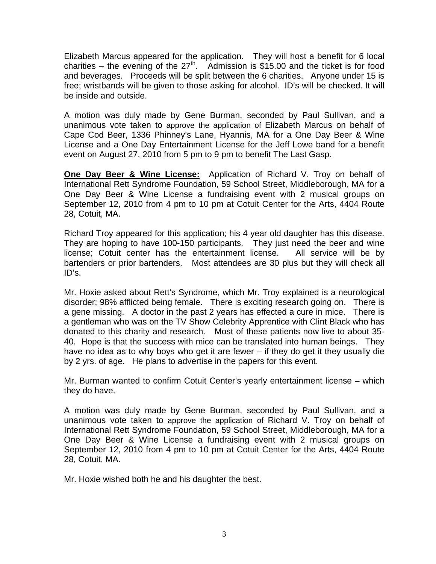Elizabeth Marcus appeared for the application. They will host a benefit for 6 local charities – the evening of the  $27<sup>th</sup>$ . Admission is \$15.00 and the ticket is for food and beverages. Proceeds will be split between the 6 charities. Anyone under 15 is free; wristbands will be given to those asking for alcohol. ID's will be checked. It will be inside and outside.

A motion was duly made by Gene Burman, seconded by Paul Sullivan, and a unanimous vote taken to approve the application of Elizabeth Marcus on behalf of Cape Cod Beer, 1336 Phinney's Lane, Hyannis, MA for a One Day Beer & Wine License and a One Day Entertainment License for the Jeff Lowe band for a benefit event on August 27, 2010 from 5 pm to 9 pm to benefit The Last Gasp.

**One Day Beer & Wine License:** Application of Richard V. Troy on behalf of International Rett Syndrome Foundation, 59 School Street, Middleborough, MA for a One Day Beer & Wine License a fundraising event with 2 musical groups on September 12, 2010 from 4 pm to 10 pm at Cotuit Center for the Arts, 4404 Route 28, Cotuit, MA.

Richard Troy appeared for this application; his 4 year old daughter has this disease. They are hoping to have 100-150 participants. They just need the beer and wine license; Cotuit center has the entertainment license. All service will be by bartenders or prior bartenders. Most attendees are 30 plus but they will check all ID's.

Mr. Hoxie asked about Rett's Syndrome, which Mr. Troy explained is a neurological disorder; 98% afflicted being female. There is exciting research going on. There is a gene missing. A doctor in the past 2 years has effected a cure in mice. There is a gentleman who was on the TV Show Celebrity Apprentice with Clint Black who has donated to this charity and research. Most of these patients now live to about 35- 40. Hope is that the success with mice can be translated into human beings. They have no idea as to why boys who get it are fewer  $-$  if they do get it they usually die by 2 yrs. of age. He plans to advertise in the papers for this event.

Mr. Burman wanted to confirm Cotuit Center's yearly entertainment license – which they do have.

A motion was duly made by Gene Burman, seconded by Paul Sullivan, and a unanimous vote taken to approve the application of Richard V. Troy on behalf of International Rett Syndrome Foundation, 59 School Street, Middleborough, MA for a One Day Beer & Wine License a fundraising event with 2 musical groups on September 12, 2010 from 4 pm to 10 pm at Cotuit Center for the Arts, 4404 Route 28, Cotuit, MA.

Mr. Hoxie wished both he and his daughter the best.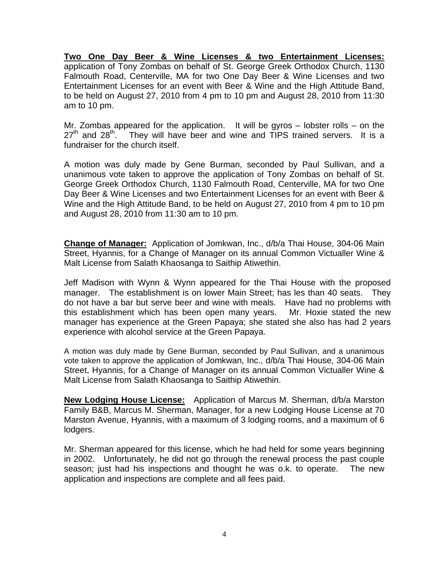**Two One Day Beer & Wine Licenses & two Entertainment Licenses:** application of Tony Zombas on behalf of St. George Greek Orthodox Church, 1130 Falmouth Road, Centerville, MA for two One Day Beer & Wine Licenses and two Entertainment Licenses for an event with Beer & Wine and the High Attitude Band, to be held on August 27, 2010 from 4 pm to 10 pm and August 28, 2010 from 11:30 am to 10 pm.

Mr. Zombas appeared for the application. It will be gyros – lobster rolls – on the  $27<sup>th</sup>$  and  $28<sup>th</sup>$ . They will have beer and wine and TIPS trained servers. It is a They will have beer and wine and TIPS trained servers. It is a fundraiser for the church itself.

A motion was duly made by Gene Burman, seconded by Paul Sullivan, and a unanimous vote taken to approve the application of Tony Zombas on behalf of St. George Greek Orthodox Church, 1130 Falmouth Road, Centerville, MA for two One Day Beer & Wine Licenses and two Entertainment Licenses for an event with Beer & Wine and the High Attitude Band, to be held on August 27, 2010 from 4 pm to 10 pm and August 28, 2010 from 11:30 am to 10 pm.

**Change of Manager:** Application of Jomkwan, Inc., d/b/a Thai House, 304-06 Main Street, Hyannis, for a Change of Manager on its annual Common Victualler Wine & Malt License from Salath Khaosanga to Saithip Atiwethin.

Jeff Madison with Wynn & Wynn appeared for the Thai House with the proposed manager. The establishment is on lower Main Street; has les than 40 seats. They do not have a bar but serve beer and wine with meals. Have had no problems with this establishment which has been open many years. Mr. Hoxie stated the new manager has experience at the Green Papaya; she stated she also has had 2 years experience with alcohol service at the Green Papaya.

A motion was duly made by Gene Burman, seconded by Paul Sullivan, and a unanimous vote taken to approve the application of Jomkwan, Inc., d/b/a Thai House, 304-06 Main Street, Hyannis, for a Change of Manager on its annual Common Victualler Wine & Malt License from Salath Khaosanga to Saithip Atiwethin.

**New Lodging House License:** Application of Marcus M. Sherman, d/b/a Marston Family B&B, Marcus M. Sherman, Manager, for a new Lodging House License at 70 Marston Avenue, Hyannis, with a maximum of 3 lodging rooms, and a maximum of 6 lodgers.

Mr. Sherman appeared for this license, which he had held for some years beginning in 2002. Unfortunately, he did not go through the renewal process the past couple season; just had his inspections and thought he was o.k. to operate. The new application and inspections are complete and all fees paid.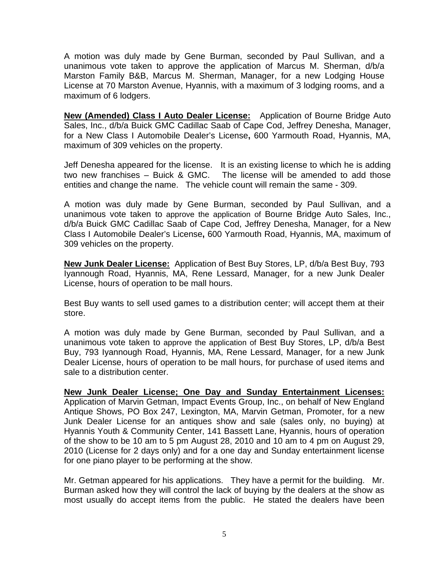A motion was duly made by Gene Burman, seconded by Paul Sullivan, and a unanimous vote taken to approve the application of Marcus M. Sherman, d/b/a Marston Family B&B, Marcus M. Sherman, Manager, for a new Lodging House License at 70 Marston Avenue, Hyannis, with a maximum of 3 lodging rooms, and a maximum of 6 lodgers.

**New (Amended) Class I Auto Dealer License:** Application of Bourne Bridge Auto Sales, Inc., d/b/a Buick GMC Cadillac Saab of Cape Cod, Jeffrey Denesha, Manager, for a New Class I Automobile Dealer's License**,** 600 Yarmouth Road, Hyannis, MA, maximum of 309 vehicles on the property.

Jeff Denesha appeared for the license. It is an existing license to which he is adding two new franchises – Buick & GMC. The license will be amended to add those entities and change the name. The vehicle count will remain the same - 309.

A motion was duly made by Gene Burman, seconded by Paul Sullivan, and a unanimous vote taken to approve the application of Bourne Bridge Auto Sales, Inc., d/b/a Buick GMC Cadillac Saab of Cape Cod, Jeffrey Denesha, Manager, for a New Class I Automobile Dealer's License**,** 600 Yarmouth Road, Hyannis, MA, maximum of 309 vehicles on the property.

**New Junk Dealer License:** Application of Best Buy Stores, LP, d/b/a Best Buy, 793 Iyannough Road, Hyannis, MA, Rene Lessard, Manager, for a new Junk Dealer License, hours of operation to be mall hours.

Best Buy wants to sell used games to a distribution center; will accept them at their store.

A motion was duly made by Gene Burman, seconded by Paul Sullivan, and a unanimous vote taken to approve the application of Best Buy Stores, LP, d/b/a Best Buy, 793 Iyannough Road, Hyannis, MA, Rene Lessard, Manager, for a new Junk Dealer License, hours of operation to be mall hours, for purchase of used items and sale to a distribution center.

**New Junk Dealer License; One Day and Sunday Entertainment Licenses:**  Application of Marvin Getman, Impact Events Group, Inc., on behalf of New England Antique Shows, PO Box 247, Lexington, MA, Marvin Getman, Promoter, for a new Junk Dealer License for an antiques show and sale (sales only, no buying) at Hyannis Youth & Community Center, 141 Bassett Lane, Hyannis, hours of operation of the show to be 10 am to 5 pm August 28, 2010 and 10 am to 4 pm on August 29, 2010 (License for 2 days only) and for a one day and Sunday entertainment license for one piano player to be performing at the show.

Mr. Getman appeared for his applications. They have a permit for the building. Mr. Burman asked how they will control the lack of buying by the dealers at the show as most usually do accept items from the public. He stated the dealers have been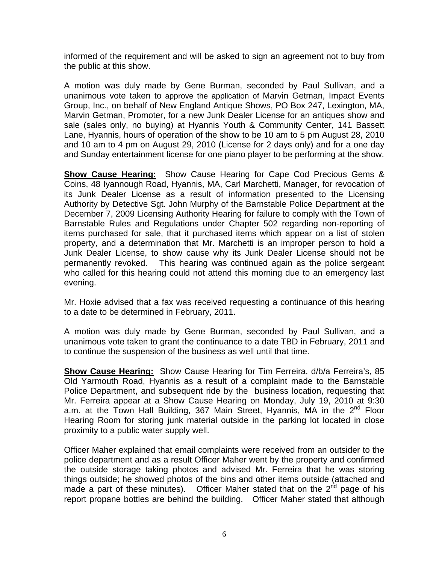informed of the requirement and will be asked to sign an agreement not to buy from the public at this show.

A motion was duly made by Gene Burman, seconded by Paul Sullivan, and a unanimous vote taken to approve the application of Marvin Getman, Impact Events Group, Inc., on behalf of New England Antique Shows, PO Box 247, Lexington, MA, Marvin Getman, Promoter, for a new Junk Dealer License for an antiques show and sale (sales only, no buying) at Hyannis Youth & Community Center, 141 Bassett Lane, Hyannis, hours of operation of the show to be 10 am to 5 pm August 28, 2010 and 10 am to 4 pm on August 29, 2010 (License for 2 days only) and for a one day and Sunday entertainment license for one piano player to be performing at the show.

**Show Cause Hearing:** Show Cause Hearing for Cape Cod Precious Gems & Coins, 48 Iyannough Road, Hyannis, MA, Carl Marchetti, Manager, for revocation of its Junk Dealer License as a result of information presented to the Licensing Authority by Detective Sgt. John Murphy of the Barnstable Police Department at the December 7, 2009 Licensing Authority Hearing for failure to comply with the Town of Barnstable Rules and Regulations under Chapter 502 regarding non-reporting of items purchased for sale, that it purchased items which appear on a list of stolen property, and a determination that Mr. Marchetti is an improper person to hold a Junk Dealer License, to show cause why its Junk Dealer License should not be permanently revoked. This hearing was continued again as the police sergeant who called for this hearing could not attend this morning due to an emergency last evening.

Mr. Hoxie advised that a fax was received requesting a continuance of this hearing to a date to be determined in February, 2011.

A motion was duly made by Gene Burman, seconded by Paul Sullivan, and a unanimous vote taken to grant the continuance to a date TBD in February, 2011 and to continue the suspension of the business as well until that time.

**Show Cause Hearing:** Show Cause Hearing for Tim Ferreira, d/b/a Ferreira's, 85 Old Yarmouth Road, Hyannis as a result of a complaint made to the Barnstable Police Department, and subsequent ride by the business location, requesting that Mr. Ferreira appear at a Show Cause Hearing on Monday, July 19, 2010 at 9:30 a.m. at the Town Hall Building, 367 Main Street, Hyannis, MA in the 2<sup>nd</sup> Floor Hearing Room for storing junk material outside in the parking lot located in close proximity to a public water supply well.

Officer Maher explained that email complaints were received from an outsider to the police department and as a result Officer Maher went by the property and confirmed the outside storage taking photos and advised Mr. Ferreira that he was storing things outside; he showed photos of the bins and other items outside (attached and made a part of these minutes). Officer Maher stated that on the  $2<sup>nd</sup>$  page of his report propane bottles are behind the building. Officer Maher stated that although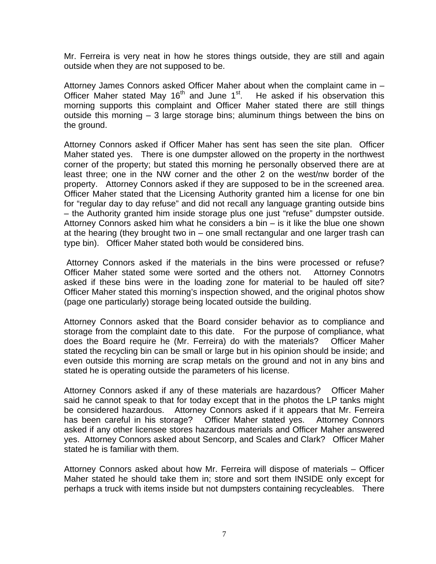Mr. Ferreira is very neat in how he stores things outside, they are still and again outside when they are not supposed to be.

Attorney James Connors asked Officer Maher about when the complaint came in – Officer Maher stated May 16<sup>th</sup> and June 1<sup>st</sup>. He asked if his observation this morning supports this complaint and Officer Maher stated there are still things outside this morning – 3 large storage bins; aluminum things between the bins on the ground.

Attorney Connors asked if Officer Maher has sent has seen the site plan. Officer Maher stated yes. There is one dumpster allowed on the property in the northwest corner of the property; but stated this morning he personally observed there are at least three; one in the NW corner and the other 2 on the west/nw border of the property. Attorney Connors asked if they are supposed to be in the screened area. Officer Maher stated that the Licensing Authority granted him a license for one bin for "regular day to day refuse" and did not recall any language granting outside bins – the Authority granted him inside storage plus one just "refuse" dumpster outside. Attorney Connors asked him what he considers a bin – is it like the blue one shown at the hearing (they brought two in – one small rectangular and one larger trash can type bin). Officer Maher stated both would be considered bins.

 Attorney Connors asked if the materials in the bins were processed or refuse? Officer Maher stated some were sorted and the others not. Attorney Connotrs asked if these bins were in the loading zone for material to be hauled off site? Officer Maher stated this morning's inspection showed, and the original photos show (page one particularly) storage being located outside the building.

Attorney Connors asked that the Board consider behavior as to compliance and storage from the complaint date to this date. For the purpose of compliance, what does the Board require he (Mr. Ferreira) do with the materials? Officer Maher stated the recycling bin can be small or large but in his opinion should be inside; and even outside this morning are scrap metals on the ground and not in any bins and stated he is operating outside the parameters of his license.

Attorney Connors asked if any of these materials are hazardous? Officer Maher said he cannot speak to that for today except that in the photos the LP tanks might be considered hazardous. Attorney Connors asked if it appears that Mr. Ferreira has been careful in his storage? Officer Maher stated yes. Attorney Connors asked if any other licensee stores hazardous materials and Officer Maher answered yes. Attorney Connors asked about Sencorp, and Scales and Clark? Officer Maher stated he is familiar with them.

Attorney Connors asked about how Mr. Ferreira will dispose of materials – Officer Maher stated he should take them in; store and sort them INSIDE only except for perhaps a truck with items inside but not dumpsters containing recycleables. There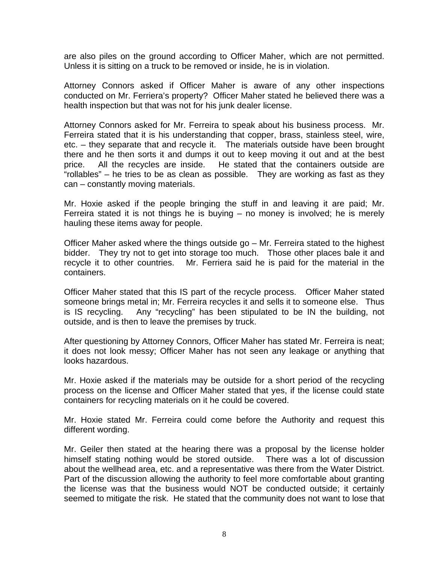are also piles on the ground according to Officer Maher, which are not permitted. Unless it is sitting on a truck to be removed or inside, he is in violation.

Attorney Connors asked if Officer Maher is aware of any other inspections conducted on Mr. Ferriera's property? Officer Maher stated he believed there was a health inspection but that was not for his junk dealer license.

Attorney Connors asked for Mr. Ferreira to speak about his business process. Mr. Ferreira stated that it is his understanding that copper, brass, stainless steel, wire, etc. – they separate that and recycle it. The materials outside have been brought there and he then sorts it and dumps it out to keep moving it out and at the best price. All the recycles are inside. He stated that the containers outside are "rollables" – he tries to be as clean as possible. They are working as fast as they can – constantly moving materials.

Mr. Hoxie asked if the people bringing the stuff in and leaving it are paid; Mr. Ferreira stated it is not things he is buying – no money is involved; he is merely hauling these items away for people.

Officer Maher asked where the things outside go – Mr. Ferreira stated to the highest bidder. They try not to get into storage too much. Those other places bale it and recycle it to other countries. Mr. Ferriera said he is paid for the material in the containers.

Officer Maher stated that this IS part of the recycle process. Officer Maher stated someone brings metal in; Mr. Ferreira recycles it and sells it to someone else. Thus is IS recycling. Any "recycling" has been stipulated to be IN the building, not outside, and is then to leave the premises by truck.

After questioning by Attorney Connors, Officer Maher has stated Mr. Ferreira is neat; it does not look messy; Officer Maher has not seen any leakage or anything that looks hazardous.

Mr. Hoxie asked if the materials may be outside for a short period of the recycling process on the license and Officer Maher stated that yes, if the license could state containers for recycling materials on it he could be covered.

Mr. Hoxie stated Mr. Ferreira could come before the Authority and request this different wording.

Mr. Geiler then stated at the hearing there was a proposal by the license holder himself stating nothing would be stored outside. There was a lot of discussion about the wellhead area, etc. and a representative was there from the Water District. Part of the discussion allowing the authority to feel more comfortable about granting the license was that the business would NOT be conducted outside; it certainly seemed to mitigate the risk. He stated that the community does not want to lose that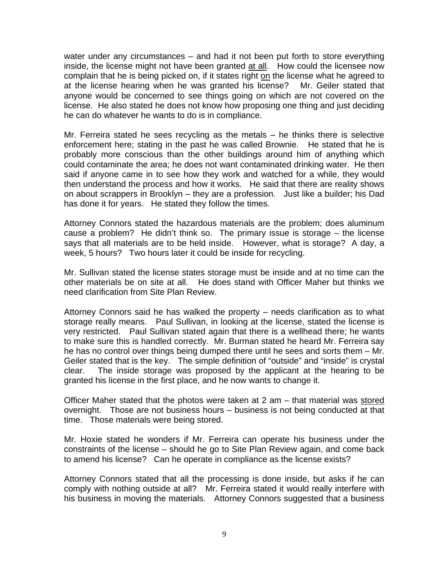water under any circumstances – and had it not been put forth to store everything inside, the license might not have been granted at all. How could the licensee now complain that he is being picked on, if it states right on the license what he agreed to at the license hearing when he was granted his license? Mr. Geiler stated that anyone would be concerned to see things going on which are not covered on the license. He also stated he does not know how proposing one thing and just deciding he can do whatever he wants to do is in compliance.

Mr. Ferreira stated he sees recycling as the metals – he thinks there is selective enforcement here; stating in the past he was called Brownie. He stated that he is probably more conscious than the other buildings around him of anything which could contaminate the area; he does not want contaminated drinking water. He then said if anyone came in to see how they work and watched for a while, they would then understand the process and how it works. He said that there are reality shows on about scrappers in Brooklyn – they are a profession. Just like a builder; his Dad has done it for years. He stated they follow the times.

Attorney Connors stated the hazardous materials are the problem; does aluminum cause a problem? He didn't think so. The primary issue is storage – the license says that all materials are to be held inside. However, what is storage? A day, a week, 5 hours? Two hours later it could be inside for recycling.

Mr. Sullivan stated the license states storage must be inside and at no time can the other materials be on site at all. He does stand with Officer Maher but thinks we need clarification from Site Plan Review.

Attorney Connors said he has walked the property – needs clarification as to what storage really means. Paul Sullivan, in looking at the license, stated the license is very restricted. Paul Sullivan stated again that there is a wellhead there; he wants to make sure this is handled correctly. Mr. Burman stated he heard Mr. Ferreira say he has no control over things being dumped there until he sees and sorts them – Mr. Geiler stated that is the key. The simple definition of "outside" and "inside" is crystal clear. The inside storage was proposed by the applicant at the hearing to be granted his license in the first place, and he now wants to change it.

Officer Maher stated that the photos were taken at 2 am – that material was stored overnight. Those are not business hours – business is not being conducted at that time. Those materials were being stored.

Mr. Hoxie stated he wonders if Mr. Ferreira can operate his business under the constraints of the license – should he go to Site Plan Review again, and come back to amend his license? Can he operate in compliance as the license exists?

Attorney Connors stated that all the processing is done inside, but asks if he can comply with nothing outside at all? Mr. Ferreira stated it would really interfere with his business in moving the materials. Attorney Connors suggested that a business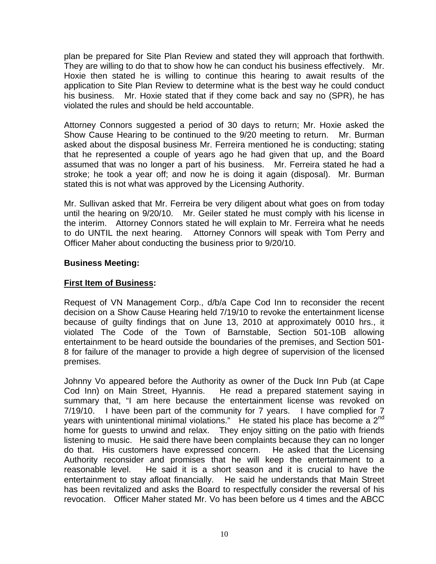plan be prepared for Site Plan Review and stated they will approach that forthwith. They are willing to do that to show how he can conduct his business effectively. Mr. Hoxie then stated he is willing to continue this hearing to await results of the application to Site Plan Review to determine what is the best way he could conduct his business. Mr. Hoxie stated that if they come back and say no (SPR), he has violated the rules and should be held accountable.

Attorney Connors suggested a period of 30 days to return; Mr. Hoxie asked the Show Cause Hearing to be continued to the 9/20 meeting to return. Mr. Burman asked about the disposal business Mr. Ferreira mentioned he is conducting; stating that he represented a couple of years ago he had given that up, and the Board assumed that was no longer a part of his business. Mr. Ferreira stated he had a stroke; he took a year off; and now he is doing it again (disposal). Mr. Burman stated this is not what was approved by the Licensing Authority.

Mr. Sullivan asked that Mr. Ferreira be very diligent about what goes on from today until the hearing on 9/20/10. Mr. Geiler stated he must comply with his license in the interim. Attorney Connors stated he will explain to Mr. Ferreira what he needs to do UNTIL the next hearing. Attorney Connors will speak with Tom Perry and Officer Maher about conducting the business prior to 9/20/10.

### **Business Meeting:**

### **First Item of Business:**

Request of VN Management Corp., d/b/a Cape Cod Inn to reconsider the recent decision on a Show Cause Hearing held 7/19/10 to revoke the entertainment license because of guilty findings that on June 13, 2010 at approximately 0010 hrs., it violated The Code of the Town of Barnstable, Section 501-10B allowing entertainment to be heard outside the boundaries of the premises, and Section 501- 8 for failure of the manager to provide a high degree of supervision of the licensed premises.

Johnny Vo appeared before the Authority as owner of the Duck Inn Pub (at Cape Cod Inn) on Main Street, Hyannis. He read a prepared statement saying in summary that, "I am here because the entertainment license was revoked on 7/19/10. I have been part of the community for 7 years. I have complied for 7 years with unintentional minimal violations." He stated his place has become a  $2^{nd}$ home for guests to unwind and relax. They enjoy sitting on the patio with friends listening to music. He said there have been complaints because they can no longer do that. His customers have expressed concern. He asked that the Licensing Authority reconsider and promises that he will keep the entertainment to a reasonable level. He said it is a short season and it is crucial to have the entertainment to stay afloat financially. He said he understands that Main Street has been revitalized and asks the Board to respectfully consider the reversal of his revocation. Officer Maher stated Mr. Vo has been before us 4 times and the ABCC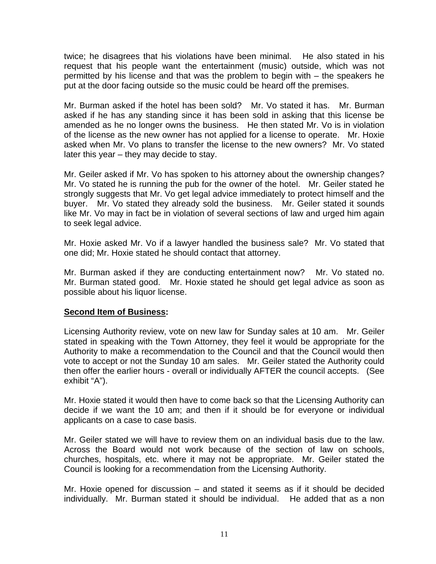twice; he disagrees that his violations have been minimal. He also stated in his request that his people want the entertainment (music) outside, which was not permitted by his license and that was the problem to begin with – the speakers he put at the door facing outside so the music could be heard off the premises.

Mr. Burman asked if the hotel has been sold? Mr. Vo stated it has. Mr. Burman asked if he has any standing since it has been sold in asking that this license be amended as he no longer owns the business. He then stated Mr. Vo is in violation of the license as the new owner has not applied for a license to operate. Mr. Hoxie asked when Mr. Vo plans to transfer the license to the new owners? Mr. Vo stated later this year – they may decide to stay.

Mr. Geiler asked if Mr. Vo has spoken to his attorney about the ownership changes? Mr. Vo stated he is running the pub for the owner of the hotel. Mr. Geiler stated he strongly suggests that Mr. Vo get legal advice immediately to protect himself and the buyer. Mr. Vo stated they already sold the business. Mr. Geiler stated it sounds like Mr. Vo may in fact be in violation of several sections of law and urged him again to seek legal advice.

Mr. Hoxie asked Mr. Vo if a lawyer handled the business sale? Mr. Vo stated that one did; Mr. Hoxie stated he should contact that attorney.

Mr. Burman asked if they are conducting entertainment now? Mr. Vo stated no. Mr. Burman stated good. Mr. Hoxie stated he should get legal advice as soon as possible about his liquor license.

### **Second Item of Business:**

Licensing Authority review, vote on new law for Sunday sales at 10 am. Mr. Geiler stated in speaking with the Town Attorney, they feel it would be appropriate for the Authority to make a recommendation to the Council and that the Council would then vote to accept or not the Sunday 10 am sales. Mr. Geiler stated the Authority could then offer the earlier hours - overall or individually AFTER the council accepts. (See exhibit "A").

Mr. Hoxie stated it would then have to come back so that the Licensing Authority can decide if we want the 10 am; and then if it should be for everyone or individual applicants on a case to case basis.

Mr. Geiler stated we will have to review them on an individual basis due to the law. Across the Board would not work because of the section of law on schools, churches, hospitals, etc. where it may not be appropriate. Mr. Geiler stated the Council is looking for a recommendation from the Licensing Authority.

Mr. Hoxie opened for discussion – and stated it seems as if it should be decided individually. Mr. Burman stated it should be individual. He added that as a non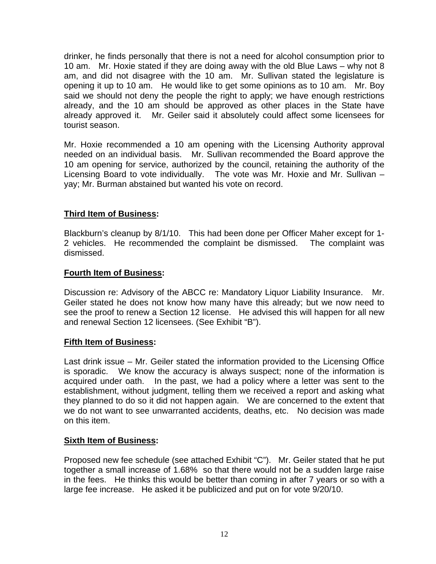drinker, he finds personally that there is not a need for alcohol consumption prior to 10 am. Mr. Hoxie stated if they are doing away with the old Blue Laws – why not 8 am, and did not disagree with the 10 am. Mr. Sullivan stated the legislature is opening it up to 10 am. He would like to get some opinions as to 10 am. Mr. Boy said we should not deny the people the right to apply; we have enough restrictions already, and the 10 am should be approved as other places in the State have already approved it. Mr. Geiler said it absolutely could affect some licensees for tourist season.

Mr. Hoxie recommended a 10 am opening with the Licensing Authority approval needed on an individual basis. Mr. Sullivan recommended the Board approve the 10 am opening for service, authorized by the council, retaining the authority of the Licensing Board to vote individually. The vote was Mr. Hoxie and Mr. Sullivan – yay; Mr. Burman abstained but wanted his vote on record.

## **Third Item of Business:**

Blackburn's cleanup by 8/1/10. This had been done per Officer Maher except for 1- 2 vehicles. He recommended the complaint be dismissed. The complaint was dismissed.

### **Fourth Item of Business:**

Discussion re: Advisory of the ABCC re: Mandatory Liquor Liability Insurance. Mr. Geiler stated he does not know how many have this already; but we now need to see the proof to renew a Section 12 license. He advised this will happen for all new and renewal Section 12 licensees. (See Exhibit "B").

### **Fifth Item of Business:**

Last drink issue – Mr. Geiler stated the information provided to the Licensing Office is sporadic. We know the accuracy is always suspect; none of the information is acquired under oath. In the past, we had a policy where a letter was sent to the establishment, without judgment, telling them we received a report and asking what they planned to do so it did not happen again. We are concerned to the extent that we do not want to see unwarranted accidents, deaths, etc. No decision was made on this item.

### **Sixth Item of Business:**

Proposed new fee schedule (see attached Exhibit "C"). Mr. Geiler stated that he put together a small increase of 1.68% so that there would not be a sudden large raise in the fees. He thinks this would be better than coming in after 7 years or so with a large fee increase. He asked it be publicized and put on for vote 9/20/10.